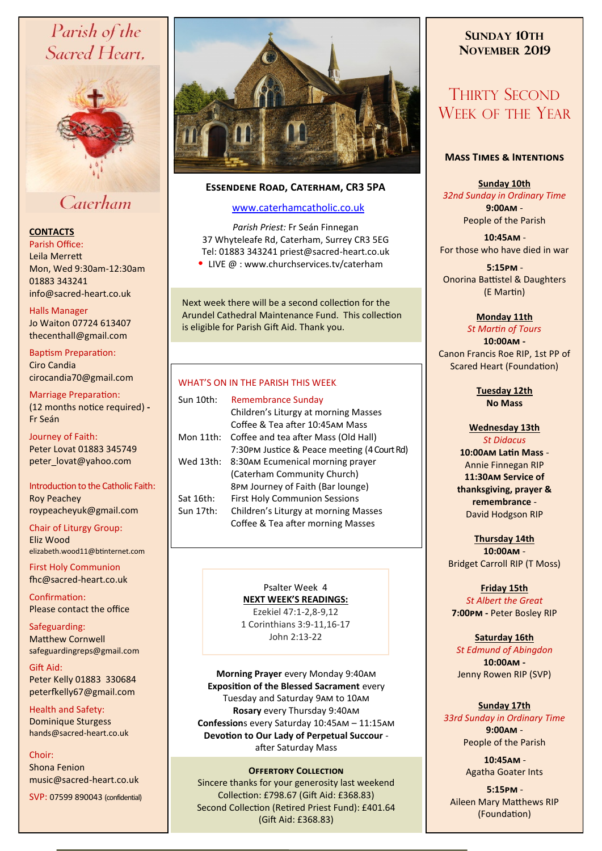# Parish of the Sacred Heart,



# Caterham

## **CONTACTS**

Parish Office: Leila Merrett Mon, Wed 9:30am-12:30am 01883 343241 info@sacred-heart.co.uk .

#### Halls Manager

Jo Waiton 07724 613407 thecenthall@gmail.com

Baptism Preparation: Ciro Candia cirocandia70@gmail.com

Marriage Preparation: (12 months notice required) **-** Fr Seán

## Journey of Faith:

Peter Lovat 01883 345749 peter\_lovat@yahoo.com

Introduction to the Catholic Faith: Roy Peachey roypeacheyuk@gmail.com

Chair of Liturgy Group:

Eliz Wood elizabeth.wood11@btinternet.com

First Holy Communion fhc@sacred-heart.co.uk

Confirmation: Please contact the office

Safeguarding: Matthew Cornwell safeguardingreps@gmail.com

Gift Aid: Peter Kelly 01883 330684 peterfkelly67@gmail.com

Health and Safety: Dominique Sturgess hands@sacred-heart.co.uk

Choir: Shona Fenion music@sacred-heart.co.uk

SVP: 07599 890043 (confidential)



## **Essendene Road, Caterham, CR3 5PA**

## [www.caterhamcatholic.co.uk](http://Www.caterhamcatholic.co.uk)

*Parish Priest:* Fr Seán Finnegan 37 Whyteleafe Rd, Caterham, Surrey CR3 5EG Tel: 01883 343241 priest@sacred-heart.co.uk • LIVE @ : www.churchservices.tv/caterham

Next week there will be a second collection for the Arundel Cathedral Maintenance Fund. This collection is eligible for Parish Gift Aid. Thank you.

## WHAT'S ON IN THE PARISH THIS WEEK.

| Sun 10th: | Remembrance Sunday                          |
|-----------|---------------------------------------------|
|           | Children's Liturgy at morning Masses        |
|           | Coffee & Tea after 10:45AM Mass             |
| Mon 11th: | Coffee and tea after Mass (Old Hall)        |
|           | 7:30PM Justice & Peace meeting (4 Court Rd) |
| Wed 13th: | 8:30AM Ecumenical morning prayer            |
|           | (Caterham Community Church)                 |
|           | 8PM Journey of Faith (Bar lounge)           |
| Sat 16th: | <b>First Holy Communion Sessions</b>        |
| Sun 17th: | Children's Liturgy at morning Masses        |
|           | Coffee & Tea after morning Masses           |
|           |                                             |

## Psalter Week 4

**NEXT WEEK'S READINGS:**  Ezekiel 47:1-2,8-9,12 1 Corinthians 3:9-11,16-17 John 2:13-22

**Morning Prayer** every Monday 9:40am **Exposition of the Blessed Sacrament** every Tuesday and Saturday 9am to 10am **Rosary** every Thursday 9:40am **Confession**s every Saturday 10:45am – 11:15am **Devotion to Our Lady of Perpetual Succour**  after Saturday Mass

### **Offertory Collection**

Sincere thanks for your generosity last weekend Collection: £798.67 (Gift Aid: £368.83) Second Collection (Retired Priest Fund): £401.64 (Gift Aid: £368.83)

## **SUNDAY 10TH NOVEMBER 2019**

# THIRTY SECOND WEEK OF THE YEAR

### **Mass Times & Intentions**

#### **Sunday 10th** *32nd Sunday in Ordinary Time* **9:00am** - People of the Parish

.**10:45am** - For those who have died in war

.**5:15pm** - Onorina Battistel & Daughters (E Martin)

## **Monday 11th**

*St Martin of Tours* **10:00am -**  Canon Francis Roe RIP, 1st PP of Scared Heart (Foundation)

> **Tuesday 12th No Mass**

## **Wednesday 13th**

*St Didacus* **10:00am Latin Mass** - Annie Finnegan RIP **11:30am Service of thanksgiving, prayer & remembrance** - David Hodgson RIP

**Thursday 14th 10:00am** - Bridget Carroll RIP (T Moss)

**Friday 15th** *St Albert the Great* **7:00pm -** Peter Bosley RIP

## **Saturday 16th**

*St Edmund of Abingdon* **10:00am -**  Jenny Rowen RIP (SVP)

### **Sunday 17th**

*33rd Sunday in Ordinary Time* **9:00am** - People of the Parish

> .**10:45am** - Agatha Goater Ints

.**5:15pm** - Aileen Mary Matthews RIP (Foundation)